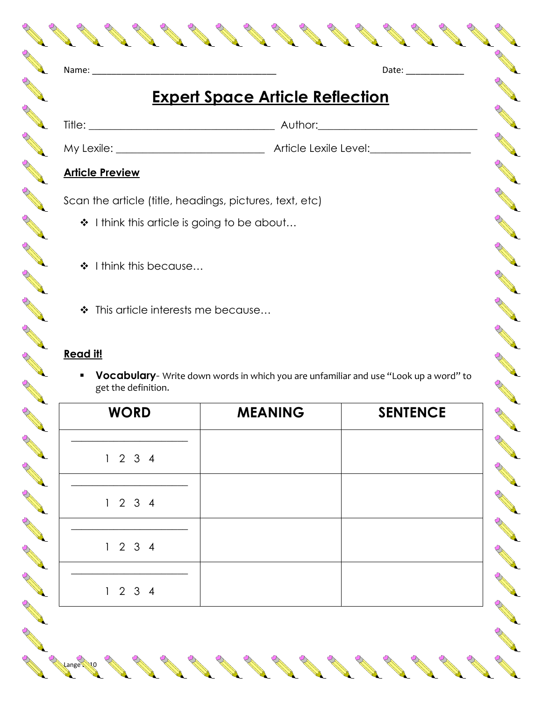|          |                                        |  |  |                       |       | $\mathcal{S}% _{M_{1},M_{2}}^{\ast}(\theta)$ |  |
|----------|----------------------------------------|--|--|-----------------------|-------|----------------------------------------------|--|
| ♦        | Name:                                  |  |  |                       | Date: |                                              |  |
|          | <b>Expert Space Article Reflection</b> |  |  |                       |       |                                              |  |
|          |                                        |  |  | Author:________       |       |                                              |  |
|          |                                        |  |  | Article Lexile Level: |       |                                              |  |
|          | <b>Article Preview</b>                 |  |  |                       |       |                                              |  |
| $\Delta$ |                                        |  |  |                       |       |                                              |  |

My Lexile: **\_\_\_\_\_\_\_\_\_\_\_\_\_\_\_\_\_\_\_\_\_\_\_\_\_\_\_\_** Article Lexile Level:**\_\_\_\_\_\_\_\_\_\_\_\_\_\_\_\_\_\_\_** 

AND TO BE

A Maria

Contract of the

A REA

COMPANY RD

A REA

RANT R

AND RD

A March

A March

Control of

A A R

AND TO BE A PARTICULAR OF

A Maria Barat de la Carte de la Carte de la Carte de la Carte de la Carte de la Carte de la Carte de la Carte de la Carte de la Carte de la Carte de la Carte de la Carte de la Carte de la Carte de la Carte de la Carte de l

And a contract of the contract of

**Contract Contract Contract Contract Contract Contract Contract Contract Contract Contract Contract Contract Contract Contract Contract Contract Contract Contract Contract Contract Contract Contract Contract Contract Contr** 

**Contract Contract Contract Contract Contract Contract Contract Contract Contract Contract Contract Contract Contract Contract Contract Contract Contract Contract Contract Contract Contract Contract Contract Contract Contr** 

## **Article Preview**

RANT R

A A

A A

A AND

B Read

**ANTICOLOGICAL CONTENTION** 

RANT R

**ANTI** 

Control R

**ANTICATIONS** 

AND ROAD

**ANTI** 

AND RD

AND ROAD

A REA

AND ROAD

Jeremia de la

Scan the article (title, headings, pictures, text, etc)

- ❖ I think this article is going to be about...
- ❖ I think this because...
- ❖ This article interests me because...

## **Read it!**

Lange 2010

**Vocabulary**- Write down words in which you are unfamiliar and use "Look up a word" to get the definition.

| <b>WORD</b> | <b>MEANING</b> | <b>SENTENCE</b> |
|-------------|----------------|-----------------|
| 1234        |                |                 |
| 1234        |                |                 |
| 1234        |                |                 |
| 1234        |                |                 |